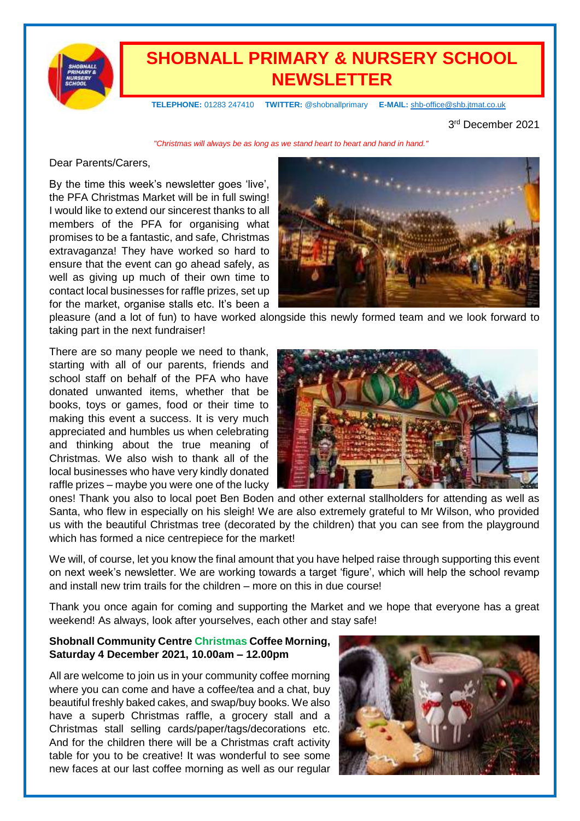

# **SHOBNALL PRIMARY & NURSERY SCHOOL NEWSLETTER**

 **TELEPHONE:** 01283 247410 **TWITTER:** @shobnallprimary **E-MAIL:** [shb-office@shb.jtmat.co.uk](mailto:shb-office@shb.jtmat.co.uk)

3 rd December 2021

*"Christmas will always be as long as we stand heart to heart and hand in hand."*

#### Dear Parents/Carers,

By the time this week's newsletter goes 'live', the PFA Christmas Market will be in full swing! I would like to extend our sincerest thanks to all members of the PFA for organising what promises to be a fantastic, and safe, Christmas extravaganza! They have worked so hard to ensure that the event can go ahead safely, as well as giving up much of their own time to contact local businesses for raffle prizes, set up for the market, organise stalls etc. It's been a



pleasure (and a lot of fun) to have worked alongside this newly formed team and we look forward to taking part in the next fundraiser!

There are so many people we need to thank, starting with all of our parents, friends and school staff on behalf of the PFA who have donated unwanted items, whether that be books, toys or games, food or their time to making this event a success. It is very much appreciated and humbles us when celebrating and thinking about the true meaning of Christmas. We also wish to thank all of the local businesses who have very kindly donated raffle prizes – maybe you were one of the lucky



ones! Thank you also to local poet Ben Boden and other external stallholders for attending as well as Santa, who flew in especially on his sleigh! We are also extremely grateful to Mr Wilson, who provided us with the beautiful Christmas tree (decorated by the children) that you can see from the playground which has formed a nice centrepiece for the market!

We will, of course, let you know the final amount that you have helped raise through supporting this event on next week's newsletter. We are working towards a target 'figure', which will help the school revamp and install new trim trails for the children – more on this in due course!

Thank you once again for coming and supporting the Market and we hope that everyone has a great weekend! As always, look after yourselves, each other and stay safe!

#### **Shobnall Community Centre Christmas Coffee Morning, Saturday 4 December 2021, 10.00am – 12.00pm**

All are welcome to join us in your community coffee morning where you can come and have a coffee/tea and a chat, buy beautiful freshly baked cakes, and swap/buy books. We also have a superb Christmas raffle, a grocery stall and a Christmas stall selling cards/paper/tags/decorations etc. And for the children there will be a Christmas craft activity table for you to be creative! It was wonderful to see some new faces at our last coffee morning as well as our regular

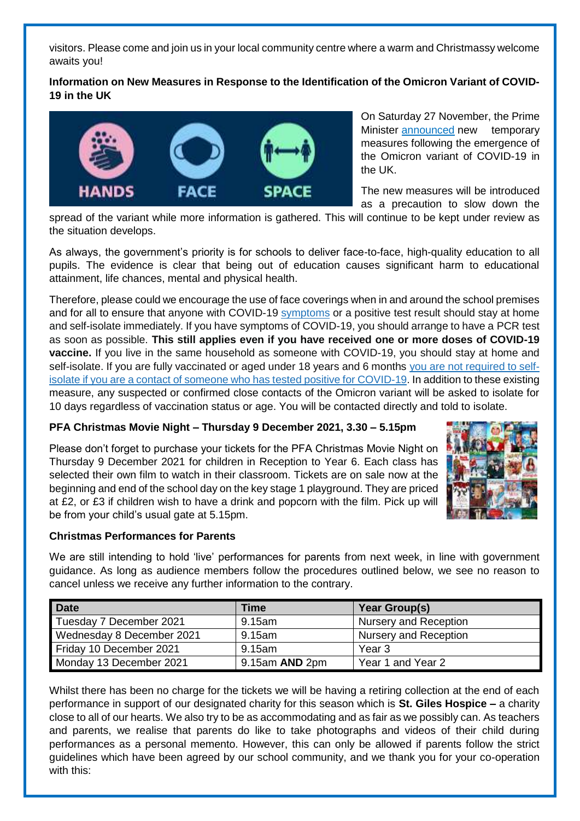visitors. Please come and join us in your local community centre where a warm and Christmassy welcome awaits you!

# **Information on New Measures in Response to the Identification of the Omicron Variant of COVID-19 in the UK**



On Saturday 27 November, the Prime Minister **[announced](https://www.gov.uk/government/news/prime-minister-sets-out-new-measures-as-omicron-variant-identified-in-uk-27-november-2021?utm_source=28%20November%202021%20C19&utm_medium=Daily%20Email%20C19&utm_campaign=DfE%20C19)** new temporary measures following the emergence of the Omicron variant of COVID-19 in the UK.

The new measures will be introduced as a precaution to slow down the

spread of the variant while more information is gathered. This will continue to be kept under review as the situation develops.

As always, the government's priority is for schools to deliver face-to-face, high-quality education to all pupils. The evidence is clear that being out of education causes significant harm to educational attainment, life chances, mental and physical health.

Therefore, please could we encourage the use of face coverings when in and around the school premises and for all to ensure that anyone with COVID-19 [symptoms](https://www.gov.uk/government/publications/covid-19-stay-at-home-guidance/stay-at-home-guidance-for-households-with-possible-coronavirus-covid-19-infection#symptoms) or a positive test result should stay at home and self-isolate immediately. If you have symptoms of COVID-19, you should arrange to have a PCR test as soon as possible. **This still applies even if you have received one or more doses of COVID-19 vaccine.** If you live in the same household as someone with COVID-19, you should stay at home and self-isolate. If you are fully vaccinated or aged under 18 years and 6 months [you are not required to self](https://www.gov.uk/government/publications/covid-19-stay-at-home-guidance/stay-at-home-guidance-for-households-with-possible-coronavirus-covid-19-infection#exempt)[isolate if you are a contact of someone who has tested positive for COVID-19.](https://www.gov.uk/government/publications/covid-19-stay-at-home-guidance/stay-at-home-guidance-for-households-with-possible-coronavirus-covid-19-infection#exempt) In addition to these existing measure, any suspected or confirmed close contacts of the Omicron variant will be asked to isolate for 10 days regardless of vaccination status or age. You will be contacted directly and told to isolate.

# **PFA Christmas Movie Night – Thursday 9 December 2021, 3.30 – 5.15pm**

Please don't forget to purchase your tickets for the PFA Christmas Movie Night on Thursday 9 December 2021 for children in Reception to Year 6. Each class has selected their own film to watch in their classroom. Tickets are on sale now at the beginning and end of the school day on the key stage 1 playground. They are priced at £2, or £3 if children wish to have a drink and popcorn with the film. Pick up will be from your child's usual gate at 5.15pm.



# **Christmas Performances for Parents**

We are still intending to hold 'live' performances for parents from next week, in line with government guidance. As long as audience members follow the procedures outlined below, we see no reason to cancel unless we receive any further information to the contrary.

| <b>Date</b>               | Time           | Year Group(s)                |
|---------------------------|----------------|------------------------------|
| Tuesday 7 December 2021   | 9.15am         | <b>Nursery and Reception</b> |
| Wednesday 8 December 2021 | 9.15am         | Nursery and Reception        |
| Friday 10 December 2021   | 9.15am         | Year 3                       |
| Monday 13 December 2021   | 9.15am AND 2pm | Year 1 and Year 2            |

Whilst there has been no charge for the tickets we will be having a retiring collection at the end of each performance in support of our designated charity for this season which is **St. Giles Hospice –** a charity close to all of our hearts. We also try to be as accommodating and as fair as we possibly can. As teachers and parents, we realise that parents do like to take photographs and videos of their child during performances as a personal memento. However, this can only be allowed if parents follow the strict guidelines which have been agreed by our school community, and we thank you for your co-operation with this: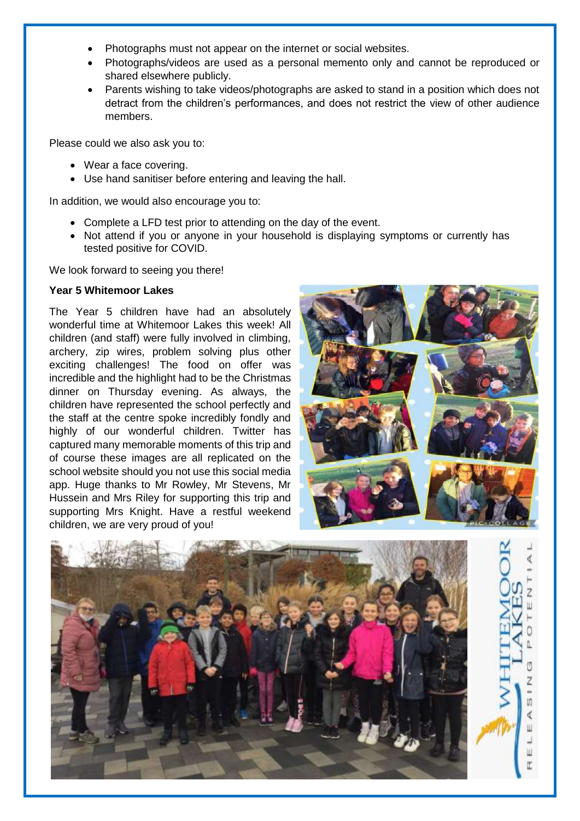- Photographs must not appear on the internet or social websites.
- Photographs/videos are used as a personal memento only and cannot be reproduced or shared elsewhere publicly.
- Parents wishing to take videos/photographs are asked to stand in a position which does not detract from the children's performances, and does not restrict the view of other audience members.

Please could we also ask you to:

- Wear a face covering.
- Use hand sanitiser before entering and leaving the hall.

In addition, we would also encourage you to:

- Complete a LFD test prior to attending on the day of the event.
- Not attend if you or anyone in your household is displaying symptoms or currently has tested positive for COVID.

We look forward to seeing you there!

#### **Year 5 Whitemoor Lakes**

The Year 5 children have had an absolutely wonderful time at Whitemoor Lakes this week! All children (and staff) were fully involved in climbing, archery, zip wires, problem solving plus other exciting challenges! The food on offer was incredible and the highlight had to be the Christmas dinner on Thursday evening. As always, the children have represented the school perfectly and the staff at the centre spoke incredibly fondly and highly of our wonderful children. Twitter has captured many memorable moments of this trip and of course these images are all replicated on the school website should you not use this social media app. Huge thanks to Mr Rowley, Mr Stevens, Mr Hussein and Mrs Riley for supporting this trip and supporting Mrs Knight. Have a restful weekend children, we are very proud of you!



U) ∢ Ш J Ш

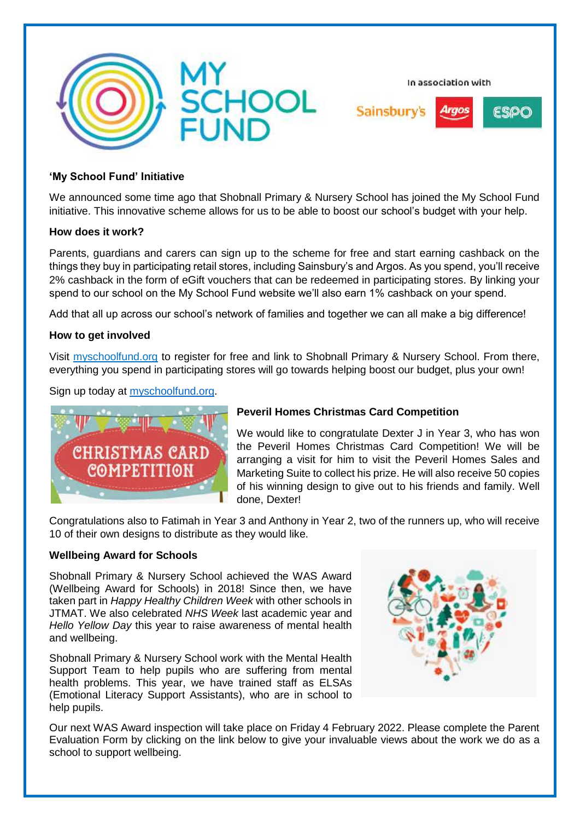

In association with



#### **'My School Fund' Initiative**

We announced some time ago that Shobnall Primary & Nursery School has joined the My School Fund initiative. This innovative scheme allows for us to be able to boost our school's budget with your help.

#### **How does it work?**

Parents, guardians and carers can sign up to the scheme for free and start earning cashback on the things they buy in participating retail stores, including Sainsbury's and Argos. As you spend, you'll receive 2% cashback in the form of eGift vouchers that can be redeemed in participating stores. By linking your spend to our school on the My School Fund website we'll also earn 1% cashback on your spend.

Add that all up across our school's network of families and together we can all make a big difference!

#### **How to get involved**

Visit myschoolfund.org to register for free and link to Shobnall Primary & Nursery School. From there, everything you spend in participating stores will go towards helping boost our budget, plus your own!

Sign up today at [myschoolfund.org.](http://www.myschoolfund.org/)



#### **Peveril Homes Christmas Card Competition**

We would like to congratulate Dexter J in Year 3, who has won the Peveril Homes Christmas Card Competition! We will be arranging a visit for him to visit the Peveril Homes Sales and Marketing Suite to collect his prize. He will also receive 50 copies of his winning design to give out to his friends and family. Well done, Dexter!

Congratulations also to Fatimah in Year 3 and Anthony in Year 2, two of the runners up, who will receive 10 of their own designs to distribute as they would like.

#### **Wellbeing Award for Schools**

Shobnall Primary & Nursery School achieved the WAS Award (Wellbeing Award for Schools) in 2018! Since then, we have taken part in *Happy Healthy Children Week* with other schools in JTMAT. We also celebrated *NHS Week* last academic year and *Hello Yellow Day* this year to raise awareness of mental health and wellbeing.

Shobnall Primary & Nursery School work with the Mental Health Support Team to help pupils who are suffering from mental health problems. This year, we have trained staff as ELSAs (Emotional Literacy Support Assistants), who are in school to help pupils.



Our next WAS Award inspection will take place on Friday 4 February 2022. Please complete the Parent Evaluation Form by clicking on the link below to give your invaluable views about the work we do as a school to support wellbeing.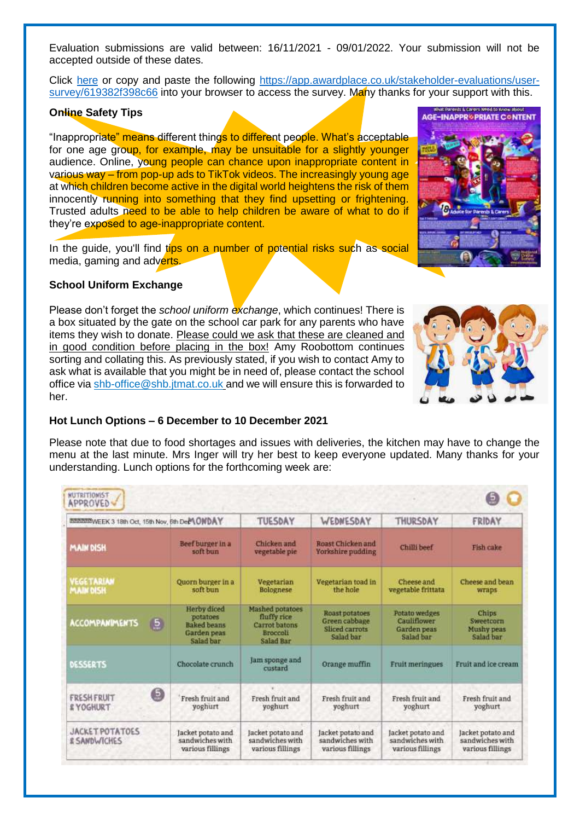Evaluation submissions are valid between: 16/11/2021 - 09/01/2022. Your submission will not be accepted outside of these dates.

Click [here](https://app.awardplace.co.uk/stakeholder-evaluations/user-survey/619382f398c66) or copy and paste the following [https://app.awardplace.co.uk/stakeholder-evaluations/user](https://app.awardplace.co.uk/stakeholder-evaluations/user-survey/619382f398c66)[survey/619382f398c66](https://app.awardplace.co.uk/stakeholder-evaluations/user-survey/619382f398c66) into your browser to access the survey. Many thanks for your support with this.

### **Online Safety Tips**

"Inappropriate" means different things to different people. What's acceptable for one age group, for example, may be unsuitable for a slightly younger audience. Online, young people can chance upon inappropriate content in various way – from pop-up ads to TikTok videos. The increasingly young age at which children become active in the digital world heightens the risk of them innocently running into something that they find upsetting or frightening. Trusted adults need to be able to help children be aware of what to do if they're exposed to age-inappropriate content.

In the guide, you'll find tips on a number of potential risks such as social media, gaming and adverts.

#### **School Uniform Exchange**

Please don't forget the *school uniform exchange*, which continues! There is a box situated by the gate on the school car park for any parents who have items they wish to donate. Please could we ask that these are cleaned and in good condition before placing in the box! Amy Roobottom continues sorting and collating this. As previously stated, if you wish to contact Amy to ask what is available that you might be in need of, please contact the school office via [shb-office@shb.jtmat.co.uk](mailto:shb-office@shb.jtmat.co.uk) and we will ensure this is forwarded to her.

#### **Hot Lunch Options – 6 December to 10 December 2021**

Please note that due to food shortages and issues with deliveries, the kitchen may have to change the menu at the last minute. Mrs Inger will try her best to keep everyone updated. Many thanks for your understanding. Lunch options for the forthcoming week are:

| <b>INDIAN WEEK 3 18th Oct, 15th Nov, 6th DeMONDAY</b>  |                                                                           | TUESDAY                                                                                | WEDNESDAY                                                      | THURSDAY                                                 | FRIDAY                                                   |
|--------------------------------------------------------|---------------------------------------------------------------------------|----------------------------------------------------------------------------------------|----------------------------------------------------------------|----------------------------------------------------------|----------------------------------------------------------|
| <b>MAIN DISH</b>                                       | Beef burger in a<br>soft bun                                              | Chicken and<br>vegetable pie                                                           | Roast Chicken and<br>Yorkshire pudding                         | Chilli beef                                              | Fish cake                                                |
| VEGETARIAN<br><b>MAIN DISH</b>                         | Quorn burger in a<br>soft bun                                             | Vegetarian<br><b>Bolognese</b>                                                         | Vegetarian toad in<br>the hole                                 | Cheese and<br>vegetable frittata                         | Cheese and bean.<br>wraps                                |
| <b>ACCOMPANIMENTS</b><br>$\overline{5}$                | <b>Herby</b> diced<br>potatoes<br>Baked beans<br>Garden peas<br>Salad bar | <b>Mashed potatoes</b><br>fluffy rice<br>Carrot batons<br><b>Broccoli</b><br>Salad Bar | Roast potatoes<br>Green cabbage<br>Sliced carrots<br>Salad bar | Potato wedges<br>Cauliflower<br>Garden peas<br>Salad bar | <b>Chips</b><br>Sweetcorn<br>Mushy peas<br>Salad bar     |
| DESSERTS                                               | Chocolate crunch                                                          | Jam sponge and<br>custard                                                              | Orange muffin                                                  | <b>Fruit meringues</b>                                   | Fruit and ice cream                                      |
| 0<br><b>FRESH FRUIT</b><br><b><i>&amp; YOGHURT</i></b> | Fresh fruit and<br>yoghurt                                                | Fresh fruit and<br>yoghurt                                                             | Fresh fruit and<br>yoghurt                                     | Fresh fruit and<br>yoghurt                               | Fresh fruit and<br>yoghurt                               |
| JACKET POTATOES<br><b><i>&amp; SANDWICHES</i></b>      | Jacket potato and<br>sandwiches with<br>various fillings                  | Jacket potato and<br>sandwiches with<br>various fillings                               | Jacket potato and<br>sandwiches with<br>various fillings       | Jacket potato and<br>sandwiches with<br>various fillings | Jacket potato and<br>sandwiches with<br>various fillings |



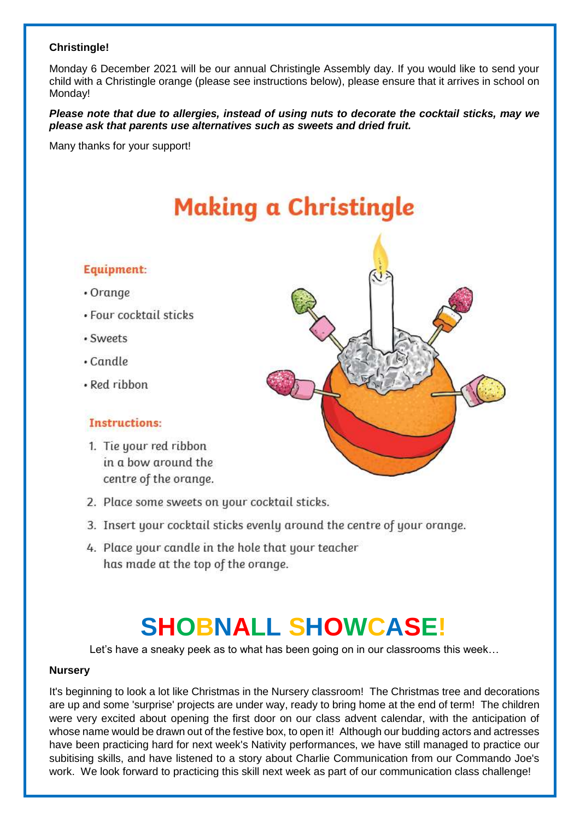### **Christingle!**

Monday 6 December 2021 will be our annual Christingle Assembly day. If you would like to send your child with a Christingle orange (please see instructions below), please ensure that it arrives in school on Monday!

*Please note that due to allergies, instead of using nuts to decorate the cocktail sticks, may we please ask that parents use alternatives such as sweets and dried fruit.*

Many thanks for your support!

# **Making a Christingle**

# Equipment:

- Orange
- · Four cocktail sticks
- · Sweets
- $\cdot$  Candle
- · Red ribbon

# **Instructions:**

- 1. Tie your red ribbon in a bow around the centre of the orange.
- 2. Place some sweets on your cocktail sticks.
- 3. Insert your cocktail sticks evenly around the centre of your orange.
- 4. Place your candle in the hole that your teacher has made at the top of the orange.

# **SHOBNALL SHOWCASE!**

Let's have a sneaky peek as to what has been going on in our classrooms this week…

#### **Nursery**

It's beginning to look a lot like Christmas in the Nursery classroom! The Christmas tree and decorations are up and some 'surprise' projects are under way, ready to bring home at the end of term! The children were very excited about opening the first door on our class advent calendar, with the anticipation of whose name would be drawn out of the festive box, to open it! Although our budding actors and actresses have been practicing hard for next week's Nativity performances, we have still managed to practice our subitising skills, and have listened to a story about Charlie Communication from our Commando Joe's work. We look forward to practicing this skill next week as part of our communication class challenge!

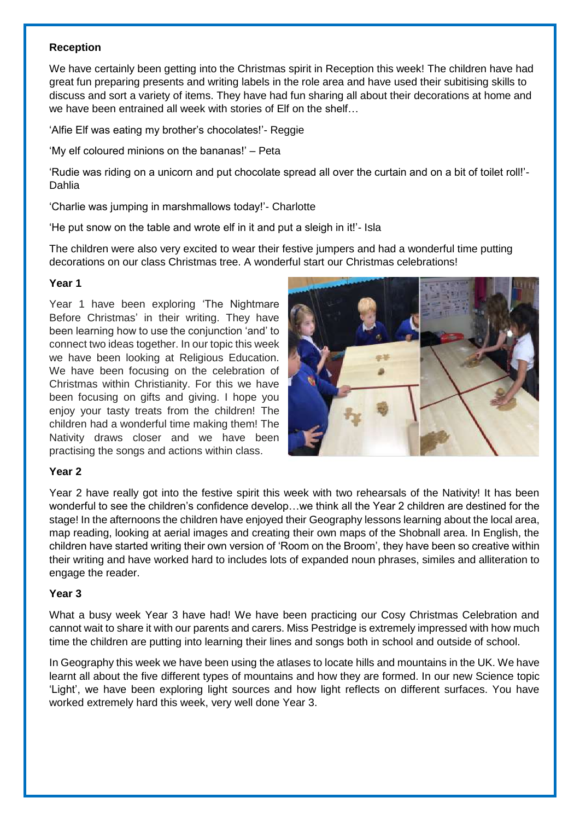#### **Reception**

We have certainly been getting into the Christmas spirit in Reception this week! The children have had great fun preparing presents and writing labels in the role area and have used their subitising skills to discuss and sort a variety of items. They have had fun sharing all about their decorations at home and we have been entrained all week with stories of Elf on the shelf…

'Alfie Elf was eating my brother's chocolates!'- Reggie

'My elf coloured minions on the bananas!' – Peta

'Rudie was riding on a unicorn and put chocolate spread all over the curtain and on a bit of toilet roll!'- Dahlia

'Charlie was jumping in marshmallows today!'- Charlotte

'He put snow on the table and wrote elf in it and put a sleigh in it!'- Isla

The children were also very excited to wear their festive jumpers and had a wonderful time putting decorations on our class Christmas tree. A wonderful start our Christmas celebrations!

#### **Year 1**

Year 1 have been exploring 'The Nightmare Before Christmas' in their writing. They have been learning how to use the conjunction 'and' to connect two ideas together. In our topic this week we have been looking at Religious Education. We have been focusing on the celebration of Christmas within Christianity. For this we have been focusing on gifts and giving. I hope you enjoy your tasty treats from the children! The children had a wonderful time making them! The Nativity draws closer and we have been practising the songs and actions within class.



#### **Year 2**

Year 2 have really got into the festive spirit this week with two rehearsals of the Nativity! It has been wonderful to see the children's confidence develop…we think all the Year 2 children are destined for the stage! In the afternoons the children have enjoyed their Geography lessons learning about the local area, map reading, looking at aerial images and creating their own maps of the Shobnall area. In English, the children have started writing their own version of 'Room on the Broom', they have been so creative within their writing and have worked hard to includes lots of expanded noun phrases, similes and alliteration to engage the reader.

#### **Year 3**

What a busy week Year 3 have had! We have been practicing our Cosy Christmas Celebration and cannot wait to share it with our parents and carers. Miss Pestridge is extremely impressed with how much time the children are putting into learning their lines and songs both in school and outside of school.

In Geography this week we have been using the atlases to locate hills and mountains in the UK. We have learnt all about the five different types of mountains and how they are formed. In our new Science topic 'Light', we have been exploring light sources and how light reflects on different surfaces. You have worked extremely hard this week, very well done Year 3.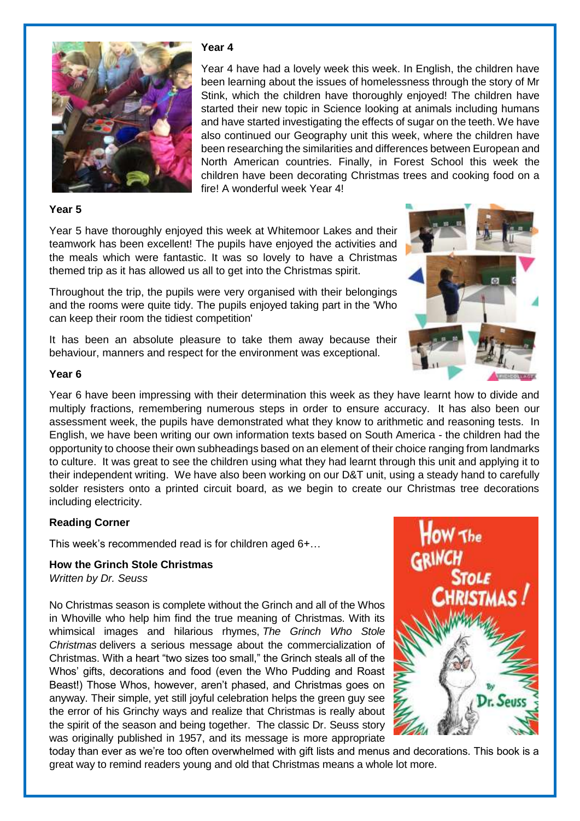

#### **Year 4**

Year 4 have had a lovely week this week. In English, the children have been learning about the issues of homelessness through the story of Mr Stink, which the children have thoroughly enjoyed! The children have started their new topic in Science looking at animals including humans and have started investigating the effects of sugar on the teeth. We have also continued our Geography unit this week, where the children have been researching the similarities and differences between European and North American countries. Finally, in Forest School this week the children have been decorating Christmas trees and cooking food on a fire! A wonderful week Year 4!

#### **Year 5**

Year 5 have thoroughly enjoyed this week at Whitemoor Lakes and their teamwork has been excellent! The pupils have enjoyed the activities and the meals which were fantastic. It was so lovely to have a Christmas themed trip as it has allowed us all to get into the Christmas spirit.

Throughout the trip, the pupils were very organised with their belongings and the rooms were quite tidy. The pupils enjoyed taking part in the 'Who can keep their room the tidiest competition'

It has been an absolute pleasure to take them away because their behaviour, manners and respect for the environment was exceptional.



#### **Year 6**

Year 6 have been impressing with their determination this week as they have learnt how to divide and multiply fractions, remembering numerous steps in order to ensure accuracy. It has also been our assessment week, the pupils have demonstrated what they know to arithmetic and reasoning tests. In English, we have been writing our own information texts based on South America - the children had the opportunity to choose their own subheadings based on an element of their choice ranging from landmarks to culture. It was great to see the children using what they had learnt through this unit and applying it to their independent writing. We have also been working on our D&T unit, using a steady hand to carefully solder resisters onto a printed circuit board, as we begin to create our Christmas tree decorations including electricity.

#### **Reading Corner**

This week's recommended read is for children aged 6+…

# **How the Grinch Stole Christmas**

*Written by Dr. Seuss*

No Christmas season is complete without the Grinch and all of the Whos in Whoville who help him find the true meaning of Christmas. With its whimsical images and hilarious rhymes, *The Grinch Who Stole Christmas* delivers a serious message about the commercialization of Christmas. With a heart "two sizes too small," the Grinch steals all of the Whos' gifts, decorations and food (even the Who Pudding and Roast Beast!) Those Whos, however, aren't phased, and Christmas goes on anyway. Their simple, yet still joyful celebration helps the green guy see the error of his Grinchy ways and realize that Christmas is really about the spirit of the season and being together. The classic Dr. Seuss story was originally published in 1957, and its message is more appropriate



today than ever as we're too often overwhelmed with gift lists and menus and decorations. This book is a great way to remind readers young and old that Christmas means a whole lot more.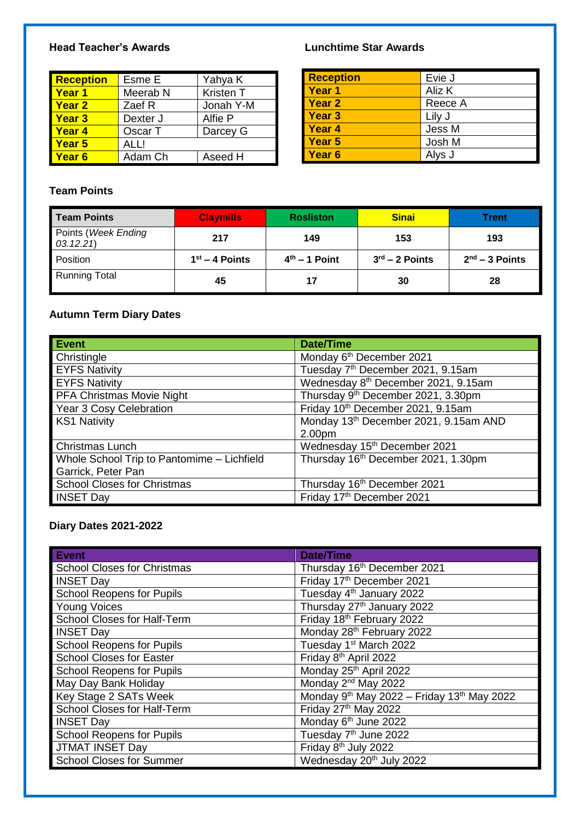### **Head Teacher's Awards Lunchtime Star Awards**

| <b>Reception</b>  | Esme E              | Yahya K   |
|-------------------|---------------------|-----------|
| <b>Year 1</b>     | Meerab <sub>N</sub> | Kristen T |
| <b>Year 2</b>     | Zaef R              | Jonah Y-M |
| <b>Year 3</b>     | Dexter J            | Alfie P   |
| <b>Year 4</b>     | Oscar T             | Darcey G  |
| Year 5            | ALLI                |           |
| Year <sub>6</sub> | Adam Ch             | Aseed H   |

| <b>Reception</b> | Evie J  |
|------------------|---------|
| Year 1           | Aliz K  |
| Year 2           | Reece A |
| Year 3           | Lily J  |
| Year 4           | Jess M  |
| Year 5           | Josh M  |
| Year 6           | Alys J  |

# **Team Points**

| <b>Team Points</b>                | <b>Claymills</b> | <b>Rosliston</b> | <b>Sinai</b>     | Trent            |
|-----------------------------------|------------------|------------------|------------------|------------------|
| Points (Week Ending<br>(03.12.21) | 217              | 149              | 153              | 193              |
| Position                          | $1st - 4$ Points | $4th - 1$ Point  | $3rd - 2$ Points | $2nd - 3$ Points |
| <b>Running Total</b>              | 45               | 17               | 30               | 28               |

# **Autumn Term Diary Dates**

| <b>Event</b>                               | <b>Date/Time</b>                                  |
|--------------------------------------------|---------------------------------------------------|
| Christingle                                | Monday 6 <sup>th</sup> December 2021              |
| <b>EYFS Nativity</b>                       | Tuesday 7th December 2021, 9.15am                 |
| <b>EYFS Nativity</b>                       | Wednesday 8 <sup>th</sup> December 2021, 9.15am   |
| <b>PFA Christmas Movie Night</b>           | Thursday 9th December 2021, 3.30pm                |
| Year 3 Cosy Celebration                    | Friday 10 <sup>th</sup> December 2021, 9.15am     |
| <b>KS1 Nativity</b>                        | Monday 13 <sup>th</sup> December 2021, 9.15am AND |
|                                            | 2.00pm                                            |
| Christmas Lunch                            | Wednesday 15 <sup>th</sup> December 2021          |
| Whole School Trip to Pantomime - Lichfield | Thursday 16 <sup>th</sup> December 2021, 1.30pm   |
| Garrick, Peter Pan                         |                                                   |
| <b>School Closes for Christmas</b>         | Thursday 16th December 2021                       |
| <b>INSET Day</b>                           | Friday 17th December 2021                         |

# **Diary Dates 2021-2022**

| <b>Event</b>                       | <b>Date/Time</b>                                                   |
|------------------------------------|--------------------------------------------------------------------|
| <b>School Closes for Christmas</b> | Thursday 16th December 2021                                        |
| <b>INSET Day</b>                   | Friday 17th December 2021                                          |
| <b>School Reopens for Pupils</b>   | Tuesday 4 <sup>th</sup> January 2022                               |
| <b>Young Voices</b>                | Thursday 27 <sup>th</sup> January 2022                             |
| School Closes for Half-Term        | Friday 18th February 2022                                          |
| <b>INSET Day</b>                   | Monday 28th February 2022                                          |
| <b>School Reopens for Pupils</b>   | Tuesday 1 <sup>st</sup> March 2022                                 |
| <b>School Closes for Easter</b>    | Friday 8 <sup>th</sup> April 2022                                  |
| <b>School Reopens for Pupils</b>   | Monday 25th April 2022                                             |
| May Day Bank Holiday               | Monday 2 <sup>nd</sup> May 2022                                    |
| Key Stage 2 SATs Week              | Monday 9 <sup>th</sup> May 2022 - Friday 13 <sup>th</sup> May 2022 |
| School Closes for Half-Term        | Friday 27th May 2022                                               |
| <b>INSET Day</b>                   | Monday 6 <sup>th</sup> June 2022                                   |
| <b>School Reopens for Pupils</b>   | Tuesday 7 <sup>th</sup> June 2022                                  |
| <b>JTMAT INSET Day</b>             | Friday 8 <sup>th</sup> July 2022                                   |
| <b>School Closes for Summer</b>    | Wednesday 20 <sup>th</sup> July 2022                               |